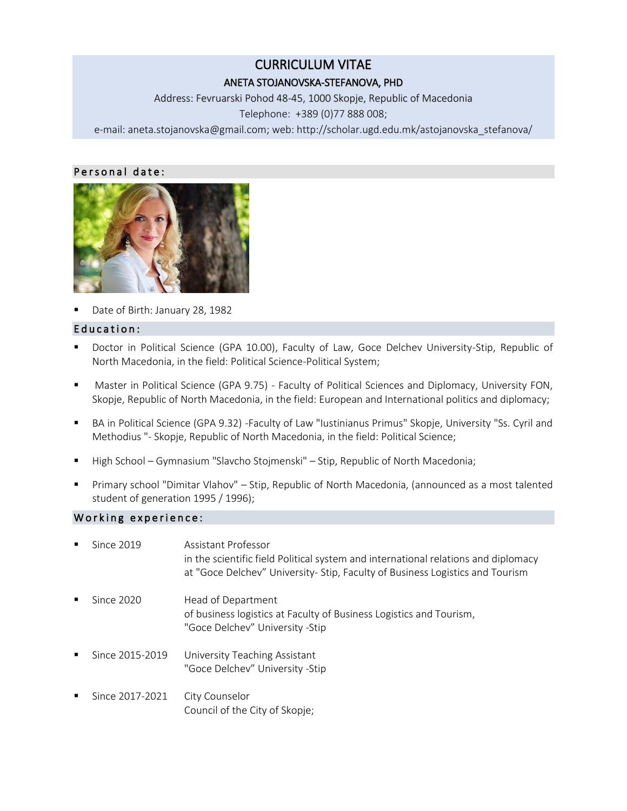# CURRICULUM VITAE

## ANETA STOJANOVSKA-STEFANOVA, PHD

Address: Fevruarski Pohod 48-45, 1000 Skopje, Republic of Macedonia Telephone: +389 (0)77 888 008;

е-mail: [aneta.stojanovska@gmail.com;](mailto:aneta.stojanovska@gmail.com) web: http://scholar.ugd.edu.mk/astojanovska\_stefanova/

### Personal date:



Date of Birth: January 28, 1982

## Education:

- Doctor in Political Science (GPA 10.00), Faculty of Law, Goce Delchev University-Stip, Republic of North Macedonia, in the field: Political Science-Political System;
- **Master in Political Science (GPA 9.75) Faculty of Political Sciences and Diplomacy, University FON,** Skopje, Republic of North Macedonia, in the field: European and International politics and diplomacy;
- BA in Political Science (GPA 9.32) -Faculty of Law "Iustinianus Primus" Skopje, University "Ss. Cyril and Methodius "- Skopje, Republic of North Macedonia, in the field: Political Science;
- High School Gymnasium "Slavcho Stojmenski" Stip, Republic of North Macedonia;
- Primary school "Dimitar Vlahov" Stip, Republic of North Macedonia, (announced as a most talented student of generation 1995 / 1996);

#### Working experience:

| $\blacksquare$ | Since 2019      | Assistant Professor<br>in the scientific field Political system and international relations and diplomacy<br>at "Goce Delchev" University- Stip, Faculty of Business Logistics and Tourism |
|----------------|-----------------|--------------------------------------------------------------------------------------------------------------------------------------------------------------------------------------------|
| ٠              | Since 2020      | Head of Department<br>of business logistics at Faculty of Business Logistics and Tourism,<br>"Goce Delchev" University -Stip                                                               |
| ٠              | Since 2015-2019 | University Teaching Assistant<br>"Goce Delchev" University -Stip                                                                                                                           |
| $\blacksquare$ | Since 2017-2021 | City Counselor<br>Council of the City of Skopje;                                                                                                                                           |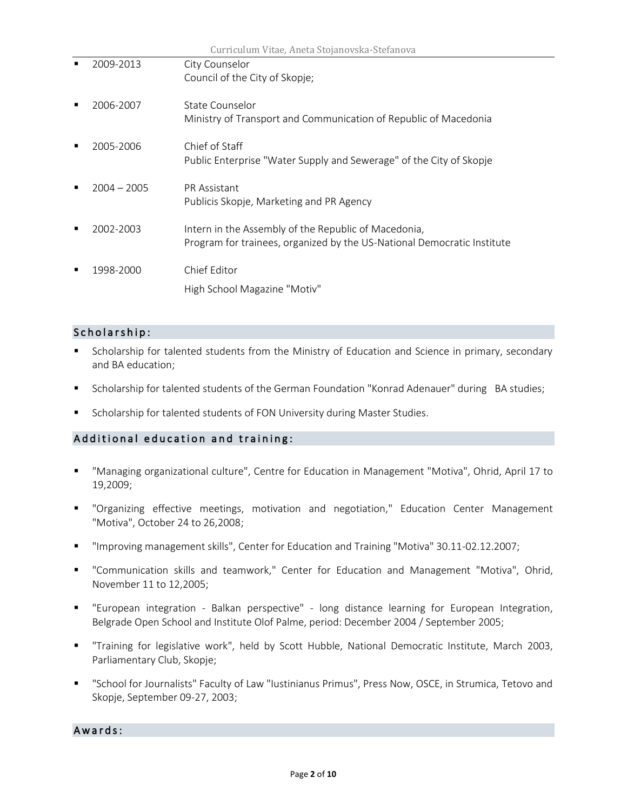| Curriculum Vitae, Aneta Stojanovska-Stefanova |               |                                                                                                                                 |
|-----------------------------------------------|---------------|---------------------------------------------------------------------------------------------------------------------------------|
|                                               | 2009-2013     | City Counselor                                                                                                                  |
|                                               |               | Council of the City of Skopje;                                                                                                  |
|                                               | 2006-2007     | State Counselor<br>Ministry of Transport and Communication of Republic of Macedonia                                             |
|                                               | 2005-2006     | Chief of Staff<br>Public Enterprise "Water Supply and Sewerage" of the City of Skopje                                           |
|                                               | $2004 - 2005$ | <b>PR</b> Assistant<br>Publicis Skopje, Marketing and PR Agency                                                                 |
|                                               | 2002-2003     | Intern in the Assembly of the Republic of Macedonia,<br>Program for trainees, organized by the US-National Democratic Institute |
|                                               | 1998-2000     | Chief Editor<br>High School Magazine "Motiv"                                                                                    |

## Scholarship:

- Scholarship for talented students from the Ministry of Education and Science in primary, secondary and BA education;
- Scholarship for talented students of the German Foundation "Konrad Adenauer" during BA studies;
- Scholarship for talented students of FON University during Master Studies.

### Additional education and training:

- "Managing organizational culture", Centre for Education in Management "Motiva", Ohrid, April 17 to 19,2009;
- "Organizing effective meetings, motivation and negotiation," Education Center Management "Motiva", October 24 to 26,2008;
- "Improving management skills", Center for Education and Training "Motiva" 30.11-02.12.2007;
- "Communication skills and teamwork," Center for Education and Management "Motiva", Ohrid, November 11 to 12,2005;
- "European integration Balkan perspective" long distance learning for European Integration, Belgrade Open School and Institute Olof Palme, period: December 2004 / September 2005;
- "Training for legislative work", held by Scott Hubble, National Democratic Institute, March 2003, Parliamentary Club, Skopje;
- "School for Journalists" Faculty of Law "Iustinianus Primus", Press Now, OSCE, in Strumica, Tetovo and Skopje, September 09-27, 2003;

Awards: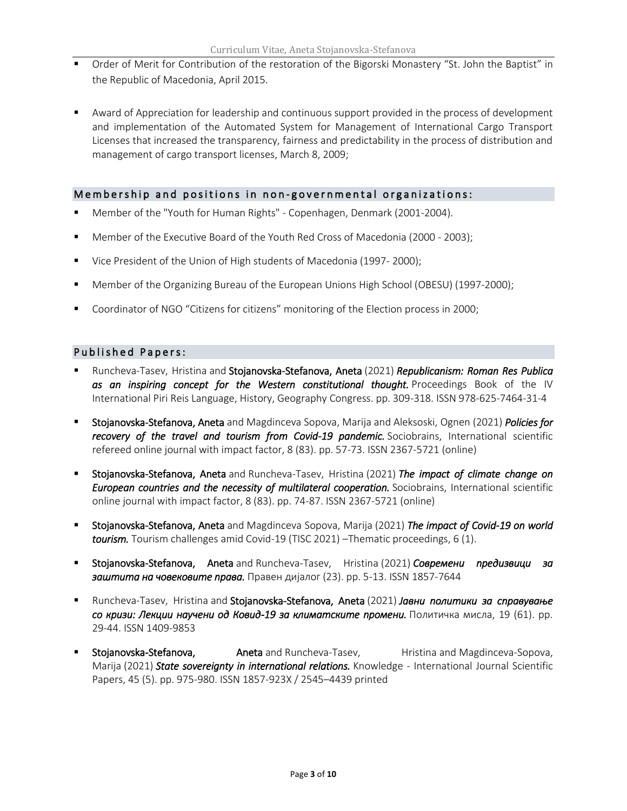- Order of Merit for Contribution of the restoration of the Bigorski Monastery "St. John the Baptist" in the Republic of Macedonia, April 2015.
- Award of Appreciation for leadership and continuous support provided in the process of development and implementation of the Automated System for Management of International Cargo Transport Licenses that increased the transparency, fairness and predictability in the process of distribution and management of cargo transport licenses, March 8, 2009;

#### Membership and positions in non-governmental organizations:

- Member of the "Youth for Human Rights" Copenhagen, Denmark (2001-2004).
- Member of the Executive Board of the Youth Red Cross of Macedonia (2000 2003);
- Vice President of the Union of High students of Macedonia (1997- 2000);
- Member of the Organizing Bureau of the European Unions High School (OBESU) (1997-2000);
- Coordinator of NGO "Citizens for citizens" monitoring of the Election process in 2000;

#### Published Papers:

- Runcheva-Tasev, Hristina and Stojanovska-Stefanova, Aneta (2021) *[Republicanism: Roman Res Publica](https://eprints.ugd.edu.mk/28823/)  [as an inspiring concept for the Western constitutional thought.](https://eprints.ugd.edu.mk/28823/)* Proceedings Book of the IV International Piri Reis Language, History, Geography Congress. pp. 309-318. ISSN 978-625-7464-31-4
- Stojanovska-Stefanova, Aneta and Magdinceva Sopova, Marija and Aleksoski, Ognen (2021) *[Policies for](https://eprints.ugd.edu.mk/28505/)  [recovery of the travel and tourism from Covid-19 pandemic.](https://eprints.ugd.edu.mk/28505/)* Sociobrains, International scientific refereed online journal with impact factor, 8 (83). pp. 57-73. ISSN 2367-5721 (online)
- Stojanovska-Stefanova, Aneta and Runcheva-Tasev, Hristina (2021) *[The impact of climate change on](https://eprints.ugd.edu.mk/28506/)  [European countries and the necessity of multilateral cooperation.](https://eprints.ugd.edu.mk/28506/)* Sociobrains, International scientific online journal with impact factor, 8 (83). pp. 74-87. ISSN 2367-5721 (online)
- Stojanovska-Stefanova, Aneta and Magdinceva Sopova, Marija (2021) *[The impact of Covid-19 on world](https://eprints.ugd.edu.mk/28474/)  [tourism.](https://eprints.ugd.edu.mk/28474/)* Tourism challenges amid Covid-19 (TISC 2021) –Thematic proceedings, 6 (1).
- Stojanovska-Stefanova, Aneta and Runcheva-Tasev, Hristina (2021) *[Современи предизвици за](https://eprints.ugd.edu.mk/28198/)  [заштита на човековите права.](https://eprints.ugd.edu.mk/28198/)* Правен дијалог (23). pp. 5-13. ISSN 1857-7644
- Runcheva-Tasev, Hristina and Stojanovska-Stefanova, Aneta (2021) *[Јавни политики за справување](https://eprints.ugd.edu.mk/28165/)  [со кризи: Лекции научени од Ковид](https://eprints.ugd.edu.mk/28165/)-19 за климатските промени.* Политичка мисла, 19 (61). pp. 29-44. ISSN 1409-9853
- Stojanovska-Stefanova, **Aneta** and Runcheva-Tasev, **Helling** Hristina and Magdinceva-Sopova, Marija (2021) *[State sovereignty in international relations.](https://eprints.ugd.edu.mk/28164/)* Knowledge - International Journal Scientific Papers, 45 (5). pp. 975-980. ISSN 1857-923X / 2545–4439 printed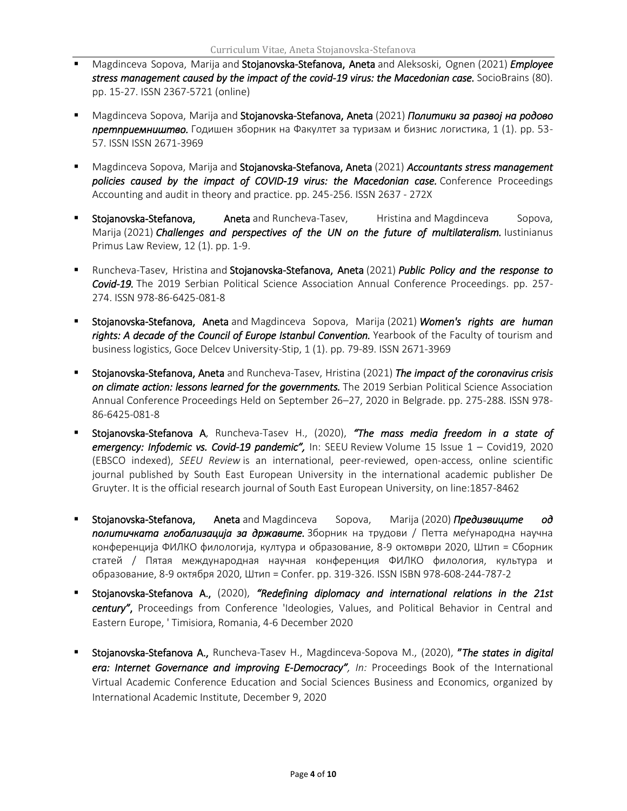- Magdinceva Sopova, Marija and Stojanovska-Stefanova, Aneta and Aleksoski, Ognen (2021) *[Employee](https://eprints.ugd.edu.mk/28163/)  [stress management caused by the impact of the covid-19 virus: the Macedonian case.](https://eprints.ugd.edu.mk/28163/)* SocioBrains (80). pp. 15-27. ISSN 2367-5721 (online)
- Magdinceva Sopova, Marija and Stojanovska-Stefanova, Aneta (2021) *[Политики за развој на родово](https://eprints.ugd.edu.mk/28829/)  [претприемништво.](https://eprints.ugd.edu.mk/28829/)* Годишен зборник на Факултет за туризам и бизнис логистика, 1 (1). pp. 53- 57. ISSN ISSN 2671-3969
- Magdinceva Sopova, Marija and Stojanovska-Stefanova, Aneta (2021) *[Accountants stress management](https://eprints.ugd.edu.mk/28162/)  [policies caused by the impact of COVID-19 virus: the Macedonian case.](https://eprints.ugd.edu.mk/28162/)* Conference Proceedings Accounting and audit in theory and practice. pp. 245-256. ISSN 2637 - 272X
- Stojanovska-Stefanova, Aneta and Runcheva-Tasev, Hristina and Magdinceva Sopova, Marija (2021) *[Challenges and perspectives of the UN on the future of multilateralism.](https://eprints.ugd.edu.mk/28335/)* Iustinianus Primus Law Review, 12 (1). pp. 1-9.
- Runcheva-Tasev, Hristina and Stojanovska-Stefanova, Aneta (2021) *[Public Policy and the response to](https://eprints.ugd.edu.mk/28160/)  [Covid-19.](https://eprints.ugd.edu.mk/28160/)* The 2019 Serbian Political Science Association Annual Conference Proceedings. pp. 257- 274. ISSN 978-86-6425-081-8
- Stojanovska-Stefanova, Aneta and Magdinceva Sopova, Marija (2021) *[Women's rights are human](https://eprints.ugd.edu.mk/28830/)  [rights: A decade of the Council of Europe Istanbul Convention.](https://eprints.ugd.edu.mk/28830/)* Yearbook of the Faculty of tourism and business logistics, Goce Delcev University-Stip, 1 (1). pp. 79-89. ISSN 2671-3969
- Stojanovska-Stefanova, Aneta and Runcheva-Tasev, Hristina (2021) *[The impact of the coronavirus crisis](https://eprints.ugd.edu.mk/28161/)  [on climate action: lessons learned for the governments.](https://eprints.ugd.edu.mk/28161/)* The 2019 Serbian Political Science Association Annual Conference Proceedings Held on September 26–27, 2020 in Belgrade. pp. 275-288. ISSN 978- 86-6425-081-8
- Stojanovska-Stefanova A, Runcheva-Tasev H., (2020), *"The mass media freedom in a state of emergency: Infodemic vs. Covid-19 pandemic",* In: SEEU Review Volume 15 Issue 1 – Covid19, 2020 (EBSCO indexed), *SEEU Review* is an international, peer-reviewed, open-access, online scientific journal published by South East European University in the international academic publisher De Gruyter. It is the official research journal of South East European University, on line:1857-8462
- Stojanovska-Stefanova, Aneta and Magdinceva Sopova, Marija (2020) *[Предизвиците од](https://eprints.ugd.edu.mk/27567/)  [политичката глобализација за државите.](https://eprints.ugd.edu.mk/27567/)* Зборник на трудови / Петта меѓународна научна конференција ФИЛКО филологија, култура и образование, 8-9 октомври 2020, Штип = Сборник статей / Пятая международная научная конференция ФИЛКО филология, культура и образование, 8-9 октября 2020, Штип = Confer. pp. 319-326. ISSN ISBN 978-608-244-787-2
- Stojanovska-Stefanova A., (2020), *"Redefining diplomacy and international relations in the 21st century"*, Proceedings from Conference 'Ideologies, Values, and Political Behavior in Central and Eastern Europe, ' Timisiora, Romania, 4-6 December 2020
- Stojanovska-Stefanova A., Runcheva-Tasev H., Magdinceva-Sopova M., (2020), "*The states in digital era: Internet Governance and improving E-Democracy", In:* Proceedings Book of the International Virtual Academic Conference Education and Social Sciences Business and Economics, organized by International Academic Institute, December 9, 2020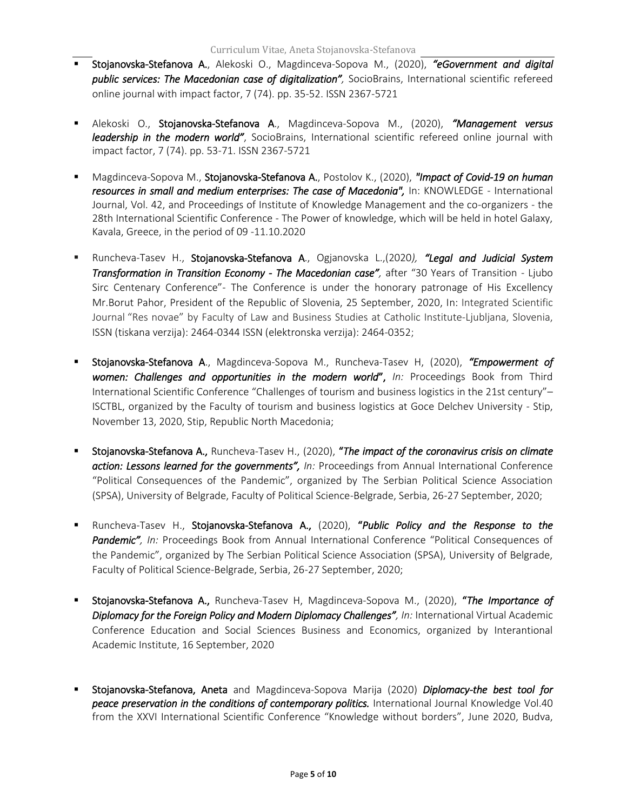- Stojanovska-Stefanova A., Alekoski O., Magdinceva-Sopova M., (2020), *"eGovernment and digital public services: The Macedonian case of digitalization",* SocioBrains, International scientific refereed online journal with impact factor, 7 (74). pp. 35-52. ISSN 2367-5721
- Alekoski O., Stojanovska-Stefanova A., Magdinceva-Sopova M., (2020), *"Management versus leadership in the modern world"*, SocioBrains, International scientific refereed online journal with impact factor, 7 (74). pp. 53-71. ISSN 2367-5721
- Magdinceva-Sopova M., Stojanovska-Stefanova A., Postolov K., (2020), *"Impact of Covid-19 on human resources in small and medium enterprises: The case of Macedonia",* In: KNOWLEDGE - International Journal, Vol. 42, and Proceedings of Institute of Knowledge Management and the co-organizers - the 28th International Scientific Conference - The Power of knowledge, which will be held in hotel Galaxy, Kavala, Greece, in the period of 09 -11.10.2020
- Runcheva-Tasev H., Stojanovska-Stefanova A., Ogjanovska L.,(2020*), "Legal and Judicial System Transformation in Transition Economy - The Macedonian case",* after "30 Years of Transition - Ljubo Sirc Centenary Conference"- The Conference is under the honorary patronage of His Excellency Mr.Borut Pahor, President of the Republic of Slovenia, 25 September, 2020, In: Integrated Scientific Journal "[Res novae](https://www.katoliski-institut.si/en/research/res-novea)" by Faculty of Law and Business Studies at Catholic Institute-Ljubljana, Slovenia, ISSN (tiskana verzija): 2464-0344 ISSN (elektronska verzija): 2464-0352;
- Stojanovska-Stefanova A., Magdinceva-Sopova M., Runcheva-Tasev H, (2020), *"Empowerment of*  women: Challenges and opportunities in the modern world", In: Proceedings Book from Third International Scientific Conference "Challenges of tourism and business logistics in the 21st century"– ISCTBL, organized by the Faculty of tourism and business logistics at Goce Delchev University - Stip, November 13, 2020, Stip, Republic North Macedonia;
- Stojanovska-Stefanova A., Runcheva-Tasev H., (2020), "*The impact of the coronavirus crisis on climate action: Lessons learned for the governments", In:* Proceedings from Annual International Conference "Political Consequences of the Pandemic", organized by The Serbian Political Science Association (SPSA), University of Belgrade, Faculty of Political Science-Belgrade, Serbia, 26-27 September, 2020;
- Runcheva-Tasev H., Stojanovska-Stefanova A., (2020), "*Public Policy and the Response to the*  Pandemic", In: Proceedings Book from Annual International Conference "Political Consequences of the Pandemic", organized by The Serbian Political Science Association (SPSA), University of Belgrade, Faculty of Political Science-Belgrade, Serbia, 26-27 September, 2020;
- Stojanovska-Stefanova A., Runcheva-Tasev H, Magdinceva-Sopova M., (2020), "*The Importance of Diplomacy for the Foreign Policy and Modern Diplomacy Challenges", In:* International Virtual Academic Conference Education and Social Sciences Business and Economics, organized by Interantional Academic Institute, 16 September, 2020
- Stojanovska-Stefanova, Aneta and Magdinceva-Sopova Marija (2020) *Diplomacy-the best tool for*  peace preservation in the conditions of contemporary politics. International Journal Knowledge Vol.40 from the XXVI International Scientific Conference "Knowledge without borders", June 2020, Budva,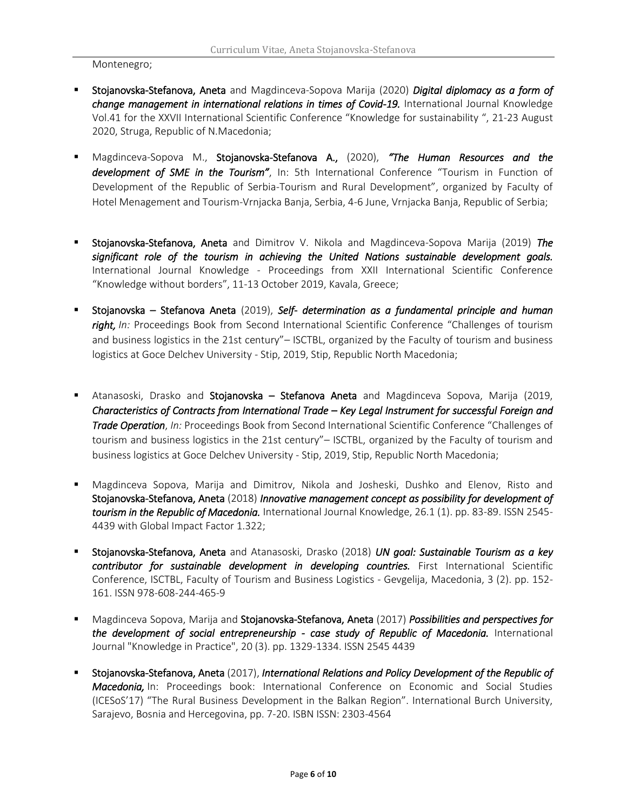Montenegro;

- Stojanovska-Stefanova, Aneta and Magdinceva-Sopova Marija (2020) *Digital diplomacy as a form of*  change management in international relations in times of Covid-19. International Journal Knowledge Vol.41 for the XXVII International Scientific Conference "Knowledge for sustainability ", 21-23 August 2020, Struga, Republic of N.Macedonia;
- Magdinceva-Sopova M., Stojanovska-Stefanova A., (2020), *"The Human Resources and the development of SME in the Tourism"*, In: 5th International Conference "Tourism in Function of Development of the Republic of Serbia-Tourism and Rural Development", organized by Faculty of Hotel Menagement and Tourism-Vrnjacka Banja, Serbia, 4-6 June, Vrnjacka Banja, Republic of Serbia;
- Stojanovska-Stefanova, Aneta and Dimitrov V. Nikola and Magdinceva-Sopova Marija (2019) *The significant role of the tourism in achieving the United Nations sustainable development goals.*  International Journal Knowledge - Proceedings from XXII International Scientific Conference "Knowledge without borders", 11-13 October 2019, Kavala, Greece;
- Stojanovska Stefanova Aneta (2019), *Self- determination as a fundamental principle and human*  right, In: Proceedings Book from Second International Scientific Conference "Challenges of tourism and business logistics in the 21st century"– ISCTBL, organized by the Faculty of tourism and business logistics at Goce Delchev University - Stip, 2019, Stip, Republic North Macedonia;
- **E** Atanasoski, Drasko and Stojanovska Stefanova Aneta and Magdinceva Sopova, Marija (2019, *Characteristics of Contracts from International Trade – Key Legal Instrument for successful Foreign and Trade Operation*, *In:* Proceedings Book from Second International Scientific Conference "Challenges of tourism and business logistics in the 21st century"– ISCTBL, organized by the Faculty of tourism and business logistics at Goce Delchev University - Stip, 2019, Stip, Republic North Macedonia;
- Magdinceva Sopova, Marija and Dimitrov, Nikola and Josheski, Dushko and Elenov, Risto and Stojanovska-Stefanova, Aneta (2018) *[Innovative management concept as possibility for development of](http://eprints.ugd.edu.mk/20559/)  [tourism in the Republic of Macedonia.](http://eprints.ugd.edu.mk/20559/)* International Journal Knowledge, 26.1 (1). pp. 83-89. ISSN 2545- 4439with Global Impact Factor 1.322;
- Stojanovska-Stefanova, Aneta and Atanasoski, Drasko (2018) *[UN goal: Sustainable Tourism as a key](http://eprints.ugd.edu.mk/22176/)  [contributor for sustainable development in developing countries.](http://eprints.ugd.edu.mk/22176/)* First International Scientific Conference, ISCTBL, Faculty of Tourism and Business Logistics - Gevgelija, Macedonia, 3 (2). pp. 152- 161. ISSN 978-608-244-465-9
- Magdinceva Sopova, Marija and Stojanovska-Stefanova, Aneta (2017) *[Possibilities and perspectives for](http://eprints.ugd.edu.mk/19610/)*  [the development of social entrepreneurship - case study of Republic of Macedonia.](http://eprints.ugd.edu.mk/19610/) International Journal "Knowledge in Practice", 20 (3). pp. 1329-1334. ISSN 2545 4439
- Stojanovska-Stefanova, Aneta (2017), *[International Relations and Policy Development of the Republic of](http://eprints.ugd.edu.mk/18192/)  [Macedonia,](http://eprints.ugd.edu.mk/18192/)* In: Proceedings book: International Conference on Economic and Social Studies (ICESoS'17) "The Rural Business Development in the Balkan Region". International Burch University, Sarajevo, Bosnia and Hercegovina, pp. 7-20. ISBN ISSN: 2303-4564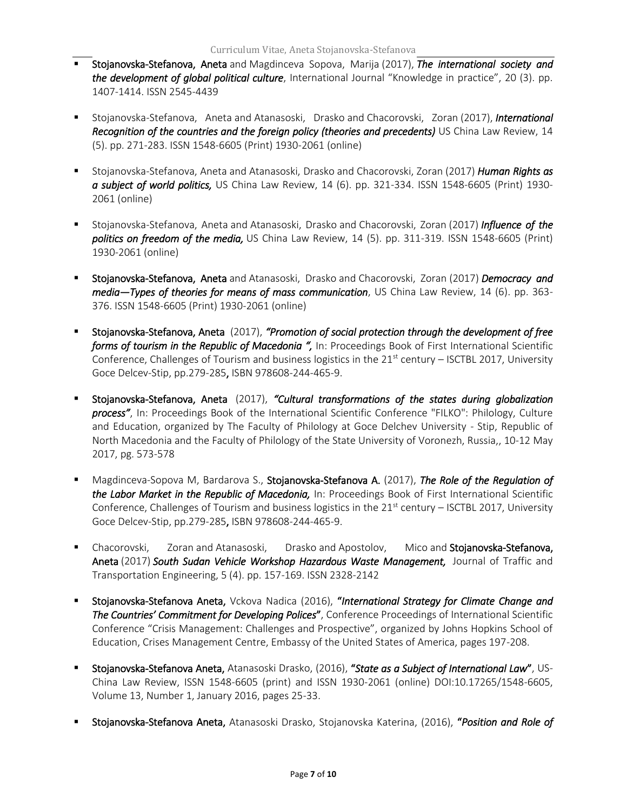- Stojanovska-Stefanova, Aneta and Magdinceva Sopova, Marija (2017), *The international society and the development of global political culture*, International Journal "Knowledge in practice", 20 (3). pp. 1407-1414. ISSN 2545-4439
- Stojanovska-Stefanova, Aneta and Atanasoski, Drasko and Chacorovski, Zoran (2017), *International Recognition of the countries and the foreign policy (theories and precedents)* US China Law Review, 14 (5). pp. 271-283. ISSN 1548-6605 (Print) 1930-2061 (online)
- Stojanovska-Stefanova, Aneta and Atanasoski, Drasko and Chacorovski, Zoran (2017) *Human Rights as a subject of world politics,* US China Law Review, 14 (6). pp. 321-334. ISSN 1548-6605 (Print) 1930- 2061 (online)
- Stojanovska-Stefanova, Aneta and Atanasoski, Drasko and Chacorovski, Zoran (2017) *[Influence of the](http://eprints.ugd.edu.mk/18191/)  [politics on freedom of the media,](http://eprints.ugd.edu.mk/18191/)* US China Law Review, 14 (5). pp. 311-319. ISSN 1548-6605 (Print) 1930-2061 (online)
- Stojanovska-Stefanova, Aneta and Atanasoski, Drasko and Chacorovski, Zoran (2017) *Democracy and media—Types of theories for means of mass communication*, US China Law Review, 14 (6). pp. 363- 376. ISSN 1548-6605 (Print) 1930-2061 (online)
- Stojanovska-Stefanova, Aneta (2017), *"Promotion of social protection through the development of free forms of tourism in the Republic of Macedonia ",* In: Proceedings Book of First International Scientific Conference, Challenges of Tourism and business logistics in the  $21<sup>st</sup>$  century – ISCTBL 2017, University Goce Delcev-Stip, pp.279-285, ISBN 978608-244-465-9.
- Stojanovska-Stefanova, Aneta (2017), *"Cultural transformations of the states during globalization process"*, In: Proceedings Book of the International Scientific Conference "FILKO": Philology, Culture and Education, organized by The Faculty of Philology at Goce Delchev University - Stip, Republic of North Macedonia and the Faculty of Philology of the State University of Voronezh, Russia,, 10-12 May 2017, pg. 573-578
- Magdinceva-Sopova M, Bardarova S., Stojanovska-Stefanova A. (2017), *The Role of the Regulation of the Labor Market in the Republic of Macedonia,* In: Proceedings Book of First International Scientific Conference, Challenges of Tourism and business logistics in the  $21<sup>st</sup>$  century – ISCTBL 2017, University Goce Delcev-Stip, pp.279-285, ISBN 978608-244-465-9.
- **E** Chacorovski, Zoran and Atanasoski, Drasko and Apostolov, Mico and Stojanovska-Stefanova, Aneta (2017) *[South Sudan Vehicle Workshop Hazardous Waste Management,](http://eprints.ugd.edu.mk/18190/)* Journal of Traffic and Transportation Engineering, 5 (4). pp. 157-169. ISSN 2328-2142
- Stojanovska-Stefanova Aneta, Vckova Nadica (2016), "*International Strategy for Climate Change and The Countries' Commitment for Developing Polices*", Conference Proceedings of International Scientific Conference "Crisis Management: Challenges and Prospective", organized by Johns Hopkins School of Education, Crises Management Centre, Embassy of the United States of America, pages 197-208.
- Stojanovska-Stefanova Aneta, Atanasoski Drasko, (2016), "*State as a Subject of International Law*", US-China Law Review, ISSN 1548-6605 (print) and ISSN 1930-2061 (online) DOI:10.17265/1548-6605, Volume 13, Number 1, January 2016, pages 25-33.
- Stojanovska-Stefanova Aneta, Atanasoski Drasko, Stojanovska Katerina, (2016), "*Position and Role of*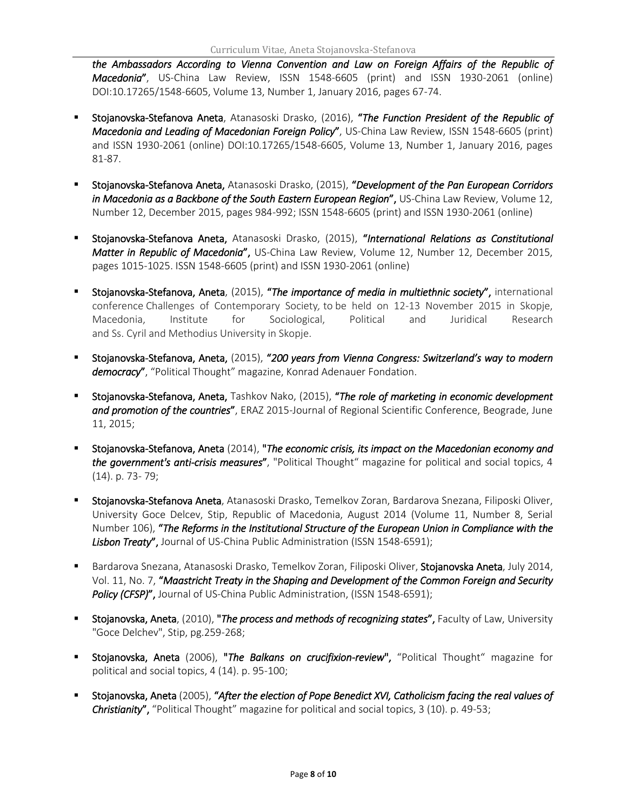*the Ambassadors According to Vienna Convention and Law on Foreign Affairs of the Republic of Macedonia*", US-China Law Review, ISSN 1548-6605 (print) and ISSN 1930-2061 (online) DOI:10.17265/1548-6605, Volume 13, Number 1, January 2016, pages 67-74.

- Stojanovska-Stefanova Aneta, Atanasoski Drasko, (2016), "*The Function President of the Republic of Macedonia and Leading of Macedonian Foreign Policy*", US-China Law Review, ISSN 1548-6605 (print) and ISSN 1930-2061 (online) DOI:10.17265/1548-6605, Volume 13, Number 1, January 2016, pages 81-87.
- Stojanovska-Stefanova Aneta, Atanasoski Drasko, (2015), "*Development of the Pan European Corridors in Macedonia as a Backbone of the South Eastern European Region*", US-China Law Review, Volume 12, Number 12, December 2015, pages 984-992; ISSN 1548-6605 (print) and ISSN 1930-2061 (online)
- Stojanovska-Stefanova Aneta, Atanasoski Drasko, (2015), "*International Relations as Constitutional Matter in Republic of Macedonia*", US-China Law Review, Volume 12, Number 12, December 2015, pages 1015-1025. ISSN 1548-6605 (print) and ISSN 1930-2061 (online)
- Stojanovska-Stefanova, Aneta, (2015), "*The importance of media in multiethnic society*", international conference Challenges of Contemporary Society*,* to be held on 12-13 November 2015 in Skopje, Macedonia, Institute for Sociological, Political and Juridical Research and Ss. Cyril and Methodius University in Skopje.
- Stojanovska-Stefanova, Aneta, (2015), "*200 years from Vienna Congress: Switzerland's way to modern*  democracy", "Political Thought" magazine, Konrad Adenauer Fondation.
- Stojanovska-Stefanova, Aneta, Tashkov Nako, (2015), "*The role of marketing in economic development and promotion of the countries*", ERAZ 2015-Journal of Regional Scientific Conference, Beograde, June 11, 2015;
- Stojanovska-Stefanova, Aneta (2014), "*The economic crisis, its impact on the Macedonian economy and the government's anti-crisis measures*", "Political Thought" magazine for political and social topics, 4 (14). p. 73- 79;
- Stojanovska-Stefanova Aneta, Atanasoski Drasko, Temelkov Zoran, Bardarova Snezana, Filiposki Oliver, University Goce Delcev, Stip, Republic of Macedonia, August 2014 (Volume 11, Number 8, Serial Number 106), "*The Reforms in the Institutional Structure of the European Union in Compliance with the Lisbon Treaty*", Journal of US-China Public Administration (ISSN 1548-6591);
- Bardarova Snezana, Atanasoski Drasko, Temelkov Zoran, Filiposki Oliver, Stojanovska Aneta, July 2014, Vol. 11, No. 7, "*Maastricht Treaty in the Shaping and Development of the Common Foreign and Security*  **Policy (CFSP)",** Journal of US-China Public Administration, (ISSN 1548-6591);
- Stojanovska, Aneta, (2010), "*The process and methods of recognizing states*", Faculty of Law, University "Goce Delchev", Stip, pg.259-268;
- Stojanovska, Aneta (2006), "*The Balkans on crucifixion-review*", "Political Thought" magazine for political and social topics, 4 (14). p. 95-100;
- Stojanovska, Aneta (2005), "*After the election of Pope Benedict XVI, Catholicism facing the real values of Christianity*", "Political Thought" magazine for political and social topics, 3 (10). p. 49-53;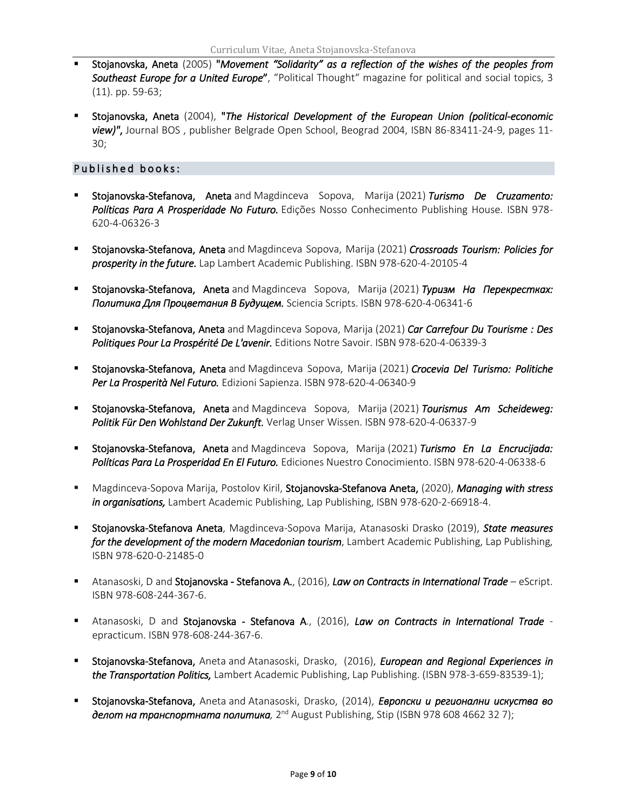- Stojanovska, Aneta (2005) "*Movement "Solidarity" as a reflection of the wishes of the peoples from Southeast Europe for a United Europe*", "Political Thought" magazine for political and social topics, 3 (11). pp. 59-63;
- Stojanovska, Aneta (2004), "*The Historical Development of the European Union (political-economic view)"*, Journal BOS , publisher Belgrade Open School, Beograd 2004, ISBN 86-83411-24-9, pages 11- 30;

#### Published books:

- Stojanovska-Stefanova, Aneta and Magdinceva Sopova, Marija (2021) *[Turismo De Cruzamento:](https://eprints.ugd.edu.mk/28588/)  [Políticas Para A Prosperidade No Futuro.](https://eprints.ugd.edu.mk/28588/)* Edições Nosso Conhecimento Publishing House. ISBN 978- 620-4-06326-3
- Stojanovska-Stefanova, Aneta and Magdinceva Sopova, Marija (2021) *[Crossroads Tourism: Policies for](https://eprints.ugd.edu.mk/28409/)  [prosperity in the future.](https://eprints.ugd.edu.mk/28409/)* Lap Lambert Academic Publishing. ISBN 978-620-4-20105-4
- Stojanovska-Stefanova, Aneta and Magdinceva Sopova, Marija (2021) *[Туризм На Перекрестках:](https://eprints.ugd.edu.mk/28589/)  [Политика Для Процветания В Будущем.](https://eprints.ugd.edu.mk/28589/)* Sciencia Scripts. ISBN 978-620-4-06341-6
- Stojanovska-Stefanova, Aneta and Magdinceva Sopova, Marija (2021) *[Car Carrefour Du Tourisme : Des](https://eprints.ugd.edu.mk/28593/)  [Politiques Pour La Pros](https://eprints.ugd.edu.mk/28593/)périté De L'avenir.* Editions Notre Savoir. ISBN 978-620-4-06339-3
- Stojanovska-Stefanova, Aneta and Magdinceva Sopova, Marija (2021) *[Crocevia Del Turismo: Politiche](https://eprints.ugd.edu.mk/28590/)  [Per La Prosperità Nel Futuro.](https://eprints.ugd.edu.mk/28590/)* Edizioni Sapienza. ISBN 978-620-4-06340-9
- Stojanovska-Stefanova, Aneta and Magdinceva Sopova, Marija (2021) *[Tourismus Am Scheideweg:](https://eprints.ugd.edu.mk/28592/)  [Politik Für Den Wohlstand Der Zukunft.](https://eprints.ugd.edu.mk/28592/)* Verlag Unser Wissen. ISBN 978-620-4-06337-9
- Stojanovska-Stefanova, Aneta and Magdinceva Sopova, Marija (2021) *[Turismo En La Encrucijada:](https://eprints.ugd.edu.mk/28591/)  [Políticas Para La Prosperidad En El Futuro.](https://eprints.ugd.edu.mk/28591/)* Ediciones Nuestro Conocimiento. ISBN 978-620-4-06338-6
- Magdinceva-Sopova Marija, Postolov Kiril, Stojanovska-Stefanova Aneta, (2020), *Managing with stress in organisations,* Lambert Academic Publishing, Lap Publishing, ISBN 978-620-2-66918-4.
- Stojanovska-Stefanova Aneta, Magdinceva-Sopova Marija, Atanasoski Drasko (2019), *State measures for the development of the modern Macedonian tourism*, Lambert Academic Publishing, Lap Publishing, ISBN 978-620-0-21485-0
- Atanasoski, D and Stojanovska Stefanova A., (2016), *Law on Contracts in International Trade* еScript. ISBN 978-608-244-367-6.
- Atanasoski, D and Stojanovska Stefanova A., (2016), *Law on Contracts in International Trade* еpracticum. ISBN 978-608-244-367-6.
- Stojanovska-Stefanova, Aneta and Atanasoski, Drasko, (2016), *[European and Regional Experiences in](http://eprints.ugd.edu.mk/16914/)  [the Transportation Politics,](http://eprints.ugd.edu.mk/16914/)* Lambert Academic Publishing, Lap Publishing. (ISBN 978-3-659-83539-1);
- Stojanovska-Stefanova, Aneta and Atanasoski, Drasko, (2014), *Европски и регионални искуства во*  **делот на транспортната политика**, 2<sup>nd</sup> August Publishing, Stip (ISBN 978 608 4662 32 7);